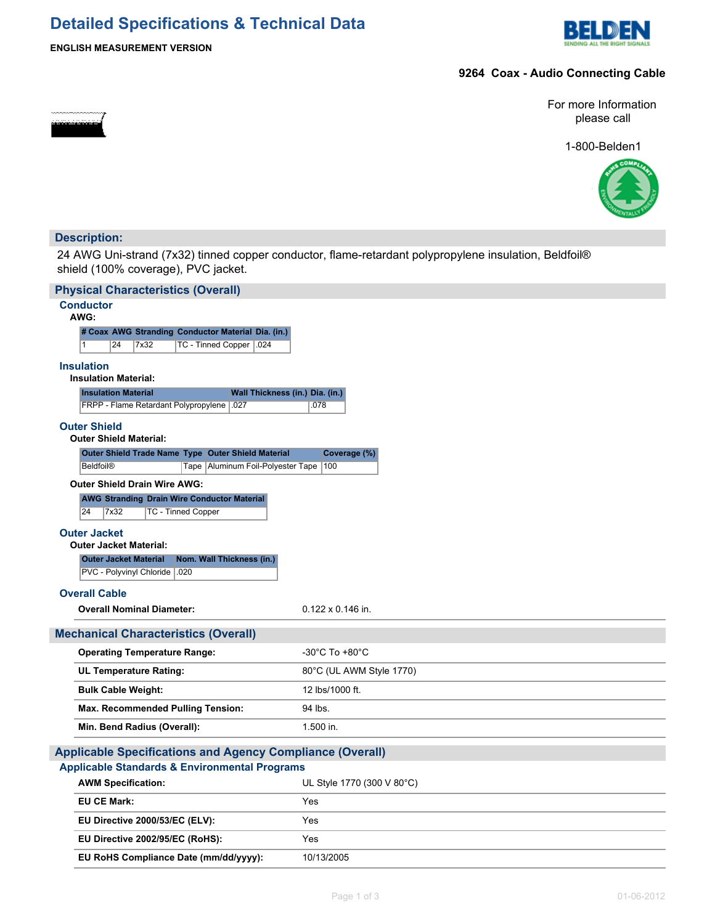# **Detailed Specifications & Technical Data**



### **ENGLISH MEASUREMENT VERSION**

## **9264 Coax - Audio Connecting Cable**

For more Information please call

1-800-Belden1



### **Description:**

24 AWG Uni-strand (7x32) tinned copper conductor, flame-retardant polypropylene insulation, Beldfoil® shield (100% coverage), PVC jacket.

| <b>Physical Characteristics (Overall)</b>                                                                    |                                    |
|--------------------------------------------------------------------------------------------------------------|------------------------------------|
| <b>Conductor</b><br>AWG:                                                                                     |                                    |
| # Coax AWG Stranding Conductor Material Dia. (in.)                                                           |                                    |
| 24<br>7x32<br>TC - Tinned Copper   .024<br>1                                                                 |                                    |
| <b>Insulation</b>                                                                                            |                                    |
| <b>Insulation Material:</b>                                                                                  |                                    |
| <b>Insulation Material</b><br>Wall Thickness (in.) Dia. (in.)<br>FRPP - Flame Retardant Polypropylene   .027 | .078                               |
| <b>Outer Shield</b><br><b>Outer Shield Material:</b>                                                         |                                    |
| Outer Shield Trade Name Type Outer Shield Material                                                           | Coverage (%)                       |
| <b>Beldfoil®</b><br>Tape   Aluminum Foil-Polyester Tape                                                      | 100                                |
| <b>Outer Shield Drain Wire AWG:</b>                                                                          |                                    |
| <b>AWG Stranding Drain Wire Conductor Material</b>                                                           |                                    |
| 24<br>7x32<br><b>TC - Tinned Copper</b>                                                                      |                                    |
| <b>Outer Jacket</b><br><b>Outer Jacket Material:</b>                                                         |                                    |
| <b>Outer Jacket Material</b><br>Nom. Wall Thickness (in.)                                                    |                                    |
| PVC - Polyvinyl Chloride   .020                                                                              |                                    |
| <b>Overall Cable</b>                                                                                         |                                    |
| <b>Overall Nominal Diameter:</b>                                                                             | $0.122 \times 0.146$ in.           |
| <b>Mechanical Characteristics (Overall)</b>                                                                  |                                    |
| <b>Operating Temperature Range:</b>                                                                          | $-30^{\circ}$ C To $+80^{\circ}$ C |
| <b>UL Temperature Rating:</b>                                                                                | 80°C (UL AWM Style 1770)           |
| <b>Bulk Cable Weight:</b>                                                                                    | 12 lbs/1000 ft.                    |
| <b>Max. Recommended Pulling Tension:</b>                                                                     | 94 lbs.                            |
| Min. Bend Radius (Overall):                                                                                  | 1.500 in.                          |
| <b>Applicable Specifications and Agency Compliance (Overall)</b>                                             |                                    |
| <b>Applicable Standards &amp; Environmental Programs</b>                                                     |                                    |
| <b>AWM Specification:</b>                                                                                    | UL Style 1770 (300 V 80°C)         |
| <b>EU CE Mark:</b>                                                                                           | Yes                                |
| EU Directive 2000/53/EC (ELV):                                                                               | Yes                                |
| EU Directive 2002/95/EC (RoHS):                                                                              | Yes                                |
| EU RoHS Compliance Date (mm/dd/yyyy):                                                                        | 10/13/2005                         |

**EU Directive 2002/96/EC (WEEE):**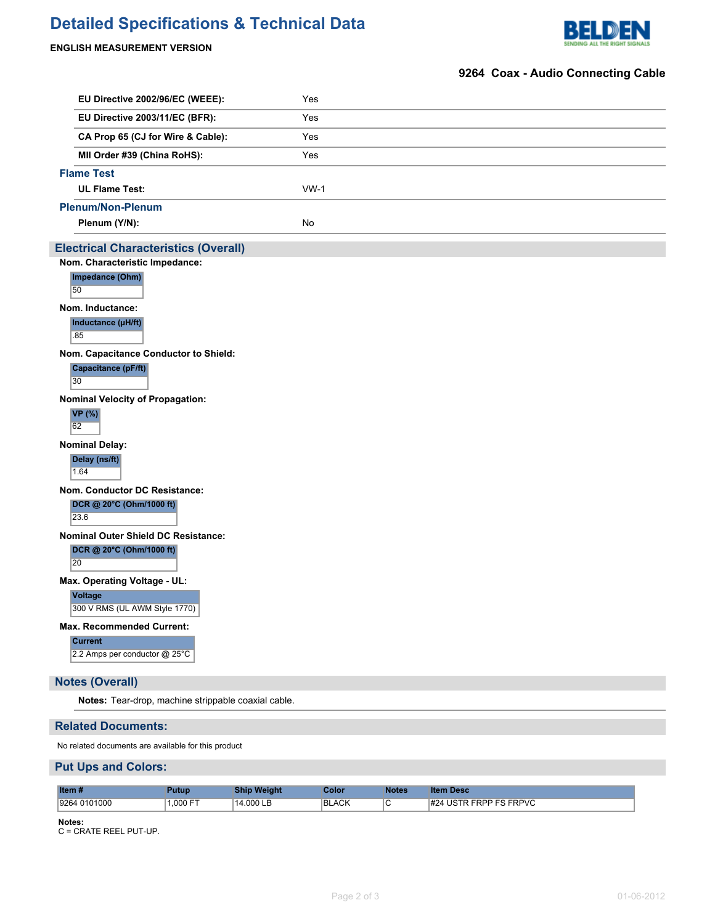# **Detailed Specifications & Technical Data**





### **9264 Coax - Audio Connecting Cable**

|                                                     |        | <b>SZUT ODAX - AUGIO ODINIECINY OADIE</b> |
|-----------------------------------------------------|--------|-------------------------------------------|
| EU Directive 2002/96/EC (WEEE):                     | Yes    |                                           |
| EU Directive 2003/11/EC (BFR):                      | Yes    |                                           |
| CA Prop 65 (CJ for Wire & Cable):                   | Yes    |                                           |
| MII Order #39 (China RoHS):                         | Yes    |                                           |
| <b>Flame Test</b>                                   |        |                                           |
| <b>UL Flame Test:</b>                               | $VW-1$ |                                           |
| <b>Plenum/Non-Plenum</b>                            |        |                                           |
| Plenum (Y/N):                                       | No     |                                           |
| <b>Electrical Characteristics (Overall)</b>         |        |                                           |
| Nom. Characteristic Impedance:                      |        |                                           |
| Impedance (Ohm)<br>50                               |        |                                           |
|                                                     |        |                                           |
| Nom. Inductance:<br>Inductance (µH/ft)              |        |                                           |
| .85                                                 |        |                                           |
| Nom. Capacitance Conductor to Shield:               |        |                                           |
| Capacitance (pF/ft)                                 |        |                                           |
| 30                                                  |        |                                           |
| <b>Nominal Velocity of Propagation:</b>             |        |                                           |
| <b>VP</b> (%)<br>62                                 |        |                                           |
| <b>Nominal Delay:</b>                               |        |                                           |
| Delay (ns/ft)<br>1.64                               |        |                                           |
| Nom. Conductor DC Resistance:                       |        |                                           |
| DCR @ 20°C (Ohm/1000 ft)<br>23.6                    |        |                                           |
| Nominal Outer Shield DC Resistance:                 |        |                                           |
| DCR @ 20°C (Ohm/1000 ft)<br>20                      |        |                                           |
| Max. Operating Voltage - UL:                        |        |                                           |
| <b>Voltage</b><br>300 V RMS (UL AWM Style 1770)     |        |                                           |
| Max. Recommended Current:                           |        |                                           |
| <b>Current</b>                                      |        |                                           |
| 2.2 Amps per conductor @ 25°C                       |        |                                           |
| <b>Notes (Overall)</b>                              |        |                                           |
| Notes: Tear-drop, machine strippable coaxial cable. |        |                                           |
| <b>Related Documents:</b>                           |        |                                           |
|                                                     |        |                                           |

No related documents are available for this product

### **Put Ups and Colors:**

| Item#         | Putup   | <b>Ship Weight</b> | Color        | <b>Notes</b> | <b>Item Desc</b>       |
|---------------|---------|--------------------|--------------|--------------|------------------------|
| 19264 0101000 | .000 FT | 14.000 LB          | <b>BLACK</b> |              | #24 USTR FRPP FS FRPVC |

**Notes:**

C = CRATE REEL PUT-UP.